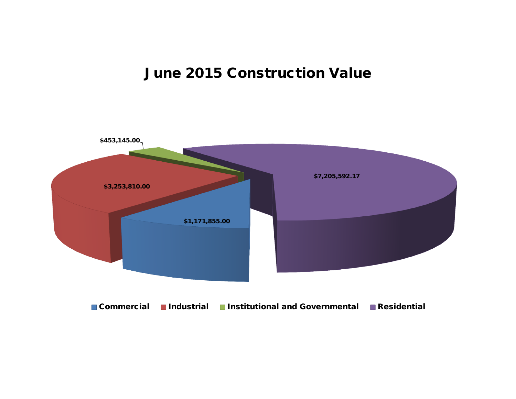## **June 2015 Construction Value**

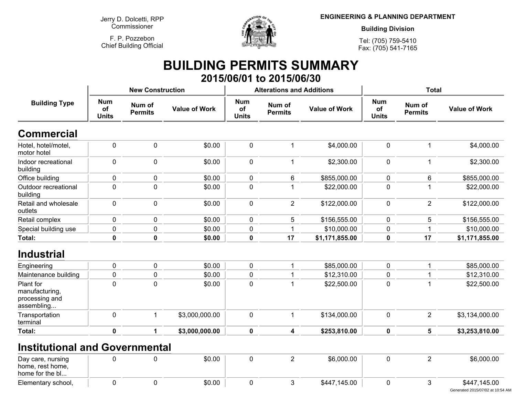**Jerry D. Dolcetti, RPPCommissioner**

**F. P. PozzebonChief Building Official**



**ENGINEERING & PLANNING DEPARTMENT**

**Building Division**

**Tel: (705) 759-5410Fax: (705) 541-7165**

## **BUILDING PERMITS SUMMARY 2015/06/01 to 2015/06/30**

|                                                             |                                                              | <b>New Construction</b> |                      |                                  | <b>Alterations and Additions</b> |                      | <b>Total</b>                     |                          |                      |
|-------------------------------------------------------------|--------------------------------------------------------------|-------------------------|----------------------|----------------------------------|----------------------------------|----------------------|----------------------------------|--------------------------|----------------------|
| <b>Building Type</b>                                        | <b>Num</b><br>Num of<br>of<br><b>Permits</b><br><b>Units</b> |                         | <b>Value of Work</b> | <b>Num</b><br>of<br><b>Units</b> | Num of<br><b>Permits</b>         | <b>Value of Work</b> | <b>Num</b><br>of<br><b>Units</b> | Num of<br><b>Permits</b> | <b>Value of Work</b> |
| <b>Commercial</b>                                           |                                                              |                         |                      |                                  |                                  |                      |                                  |                          |                      |
| Hotel, hotel/motel,<br>motor hotel                          | $\mathbf 0$                                                  | $\pmb{0}$               | \$0.00               | $\pmb{0}$                        | 1                                | \$4,000.00           | $\pmb{0}$                        | $\mathbf 1$              | \$4,000.00           |
| Indoor recreational<br>building                             | 0                                                            | $\mathbf 0$             | \$0.00               | 0                                | 1                                | \$2,300.00           | $\pmb{0}$                        | $\mathbf{1}$             | \$2,300.00           |
| Office building                                             | 0                                                            | $\mathbf 0$             | \$0.00               | 0                                | 6                                | \$855,000.00         | 0                                | $6\phantom{1}$           | \$855,000.00         |
| Outdoor recreational<br>building                            | 0                                                            | $\mathbf 0$             | \$0.00               | 0                                | 1                                | \$22,000.00          | 0                                | -1                       | \$22,000.00          |
| Retail and wholesale<br>outlets                             | 0                                                            | $\mathbf 0$             | \$0.00               | 0                                | $\overline{2}$                   | \$122,000.00         | $\mathbf 0$                      | $\overline{2}$           | \$122,000.00         |
| Retail complex                                              | 0                                                            | $\mathbf 0$             | \$0.00               | 0                                | 5                                | \$156,555.00         | 0                                | 5                        | \$156,555.00         |
| Special building use                                        | 0                                                            | $\mathbf 0$             | \$0.00               | 0                                | 1                                | \$10,000.00          | 0                                | 1                        | \$10,000.00          |
| Total:                                                      | $\mathbf 0$                                                  | $\pmb{0}$               | \$0.00               | $\pmb{0}$                        | 17                               | \$1,171,855.00       | $\pmb{0}$                        | 17                       | \$1,171,855.00       |
| <b>Industrial</b>                                           |                                                              |                         |                      |                                  |                                  |                      |                                  |                          |                      |
| Engineering                                                 | 0                                                            | $\pmb{0}$               | \$0.00               | 0                                | 1                                | \$85,000.00          | $\mathbf 0$                      | 1                        | \$85,000.00          |
| Maintenance building                                        | 0                                                            | $\mathbf 0$             | \$0.00               | 0                                | 1                                | \$12,310.00          | 0                                |                          | \$12,310.00          |
| Plant for<br>manufacturing,<br>processing and<br>assembling | $\mathbf 0$                                                  | $\mathbf 0$             | \$0.00               | 0                                | 1                                | \$22,500.00          | $\mathbf 0$                      | $\overline{1}$           | \$22,500.00          |
| Transportation<br>terminal                                  | $\mathbf 0$                                                  | $\mathbf{1}$            | \$3,000,000.00       | $\mathbf 0$                      | $\mathbf 1$                      | \$134,000.00         | $\mathbf 0$                      | $\overline{2}$           | \$3,134,000.00       |
| Total:                                                      | $\mathbf 0$                                                  | 1                       | \$3,000,000.00       | $\mathbf 0$                      | 4                                | \$253,810.00         | 0                                | 5                        | \$3,253,810.00       |
| <b>Institutional and Governmental</b>                       |                                                              |                         |                      |                                  |                                  |                      |                                  |                          |                      |
| Day care, nursing<br>home, rest home,<br>home for the bl    | 0                                                            | $\mathbf 0$             | \$0.00               | $\mathbf 0$                      | $\overline{2}$                   | \$6,000.00           | $\mathbf 0$                      | $\overline{2}$           | \$6,000.00           |
| Elementary school,                                          | 0                                                            | $\mathbf 0$             | \$0.00               | 0                                | 3                                | \$447,145.00         | 0                                | 3                        | \$447,145.00         |

Generated 2015/07/02 at 10:54 AM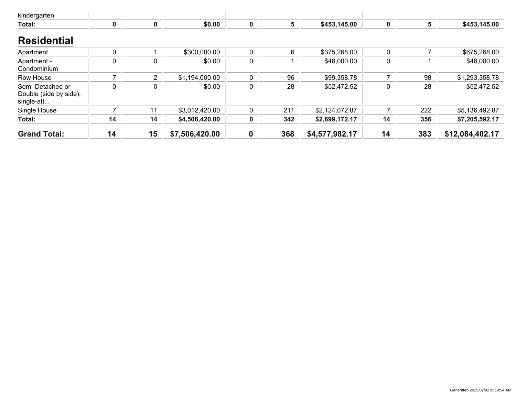| kindergarten                                             |    |                |                |   |     |                |    |     |                 |
|----------------------------------------------------------|----|----------------|----------------|---|-----|----------------|----|-----|-----------------|
| Total:                                                   | 0  | 0              | \$0.00         | 0 | 5   | \$453,145.00   | 0  | 5   | \$453,145.00    |
| <b>Residential</b>                                       |    |                |                |   |     |                |    |     |                 |
| Apartment                                                | 0  |                | \$300,000.00   | 0 | 6   | \$375,268.00   | 0  |     | \$675,268.00    |
| Apartment -<br>Condominium                               | 0  | 0              | \$0.00         | 0 |     | \$48,000.00    | 0  |     | \$48,000.00     |
| Row House                                                |    | $\overline{2}$ | \$1,194,000.00 | 0 | 96  | \$99,358.78    |    | 98  | \$1,293,358.78  |
| Semi-Detached or<br>Double (side by side),<br>single-att | 0  | 0              | \$0.00         | 0 | 28  | \$52,472.52    | 0  | 28  | \$52,472.52     |
| Single House                                             |    | 11             | \$3,012,420.00 | 0 | 211 | \$2,124,072.87 |    | 222 | \$5,136,492.87  |
| Total:                                                   | 14 | 14             | \$4,506,420.00 | 0 | 342 | \$2,699,172.17 | 14 | 356 | \$7,205,592.17  |
| <b>Grand Total:</b>                                      | 14 | 15             | \$7,506,420.00 | 0 | 368 | \$4,577,982.17 | 14 | 383 | \$12,084,402.17 |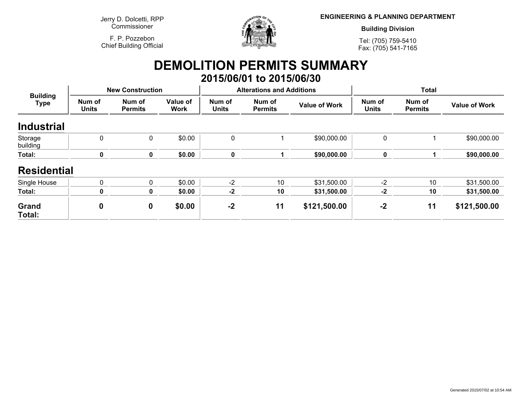**Jerry D. Dolcetti, RPPCommissioner**

**F. P. PozzebonChief Building Official**



**ENGINEERING & PLANNING DEPARTMENT**

**Building Division**

**Tel: (705) 759-5410Fax: (705) 541-7165**

## **DEMOLITION PERMITS SUMMARY 2015/06/01 to 2015/06/30**

| <b>Building</b><br><b>Type</b> |                        | <b>New Construction</b>  |                         |                        | <b>Alterations and Additions</b> |                      | <b>Total</b>           |                          |                      |
|--------------------------------|------------------------|--------------------------|-------------------------|------------------------|----------------------------------|----------------------|------------------------|--------------------------|----------------------|
|                                | Num of<br><b>Units</b> | Num of<br><b>Permits</b> | Value of<br><b>Work</b> | Num of<br><b>Units</b> | Num of<br><b>Permits</b>         | <b>Value of Work</b> | Num of<br><b>Units</b> | Num of<br><b>Permits</b> | <b>Value of Work</b> |
| <b>Industrial</b>              |                        |                          |                         |                        |                                  |                      |                        |                          |                      |
| Storage<br>building            | $\mathbf 0$            | 0                        | \$0.00                  | 0                      |                                  | \$90,000.00          | $\mathbf 0$            |                          | \$90,000.00          |
| Total:                         | 0                      | $\mathbf 0$              | \$0.00                  | $\pmb{0}$              |                                  | \$90,000.00          | $\bf{0}$               |                          | \$90,000.00          |
| <b>Residential</b>             |                        |                          |                         |                        |                                  |                      |                        |                          |                      |
| Single House                   | $\mathbf{0}$           | 0                        | \$0.00                  | $-2$                   | 10                               | \$31,500.00          | $-2$                   | 10                       | \$31,500.00          |
| Total:                         | 0                      | 0                        | \$0.00                  | $-2$                   | 10                               | \$31,500.00          | $-2$                   | 10                       | \$31,500.00          |
| Grand<br>Total:                | 0                      | 0                        | \$0.00                  | $-2$                   | 11                               | \$121,500.00         | $-2$                   | 11                       | \$121,500.00         |